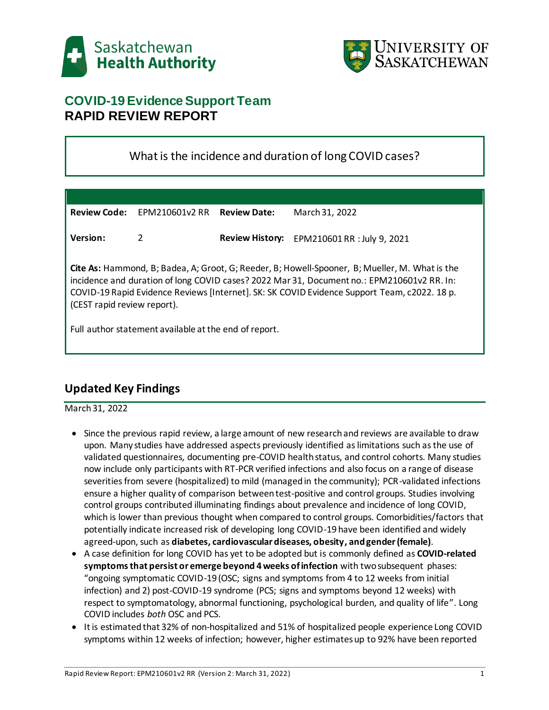



# **COVID-19 Evidence Support Team RAPID REVIEW REPORT**

# What is the incidence and duration of long COVID cases?

| <b>Review Code:</b>                                                                                                                                                                                                                                                                                                                | EPM210601v2 RR | <b>Review Date:</b> | March 31, 2022                              |
|------------------------------------------------------------------------------------------------------------------------------------------------------------------------------------------------------------------------------------------------------------------------------------------------------------------------------------|----------------|---------------------|---------------------------------------------|
| Version:                                                                                                                                                                                                                                                                                                                           | 2              |                     | Review History: EPM210601 RR : July 9, 2021 |
| <b>Cite As:</b> Hammond, B; Badea, A; Groot, G; Reeder, B; Howell-Spooner, B; Mueller, M. What is the<br>incidence and duration of long COVID cases? 2022 Mar 31, Document no.: EPM210601v2 RR. In:<br>COVID-19 Rapid Evidence Reviews [Internet]. SK: SK COVID Evidence Support Team, c2022. 18 p.<br>(CEST rapid review report). |                |                     |                                             |
| Full author statement available at the end of report.                                                                                                                                                                                                                                                                              |                |                     |                                             |

# **Updated Key Findings**

March 31, 2022

- Since the previous rapid review, a large amount of new research and reviews are available to draw upon. Many studies have addressed aspects previously identified as limitations such as the use of validated questionnaires, documenting pre-COVID health status, and control cohorts. Many studies now include only participants with RT-PCR verified infections and also focus on a range of disease severities from severe (hospitalized) to mild (managed in the community); PCR-validated infections ensure a higher quality of comparison between test-positive and control groups. Studies involving control groups contributed illuminating findings about prevalence and incidence of long COVID, which is lower than previous thought when compared to control groups. Comorbidities/factors that potentially indicate increased risk of developing long COVID-19 have been identified and widely agreed-upon, such as **diabetes, cardiovascular diseases, obesity, and gender (female)**.
- A case definition for long COVID has yet to be adopted but is commonly defined as **COVID-related symptoms that persist or emerge beyond 4 weeks of infection** with two subsequent phases: "ongoing symptomatic COVID-19 (OSC; signs and symptoms from 4 to 12 weeks from initial infection) and 2) post-COVID-19 syndrome (PCS; signs and symptoms beyond 12 weeks) with respect to symptomatology, abnormal functioning, psychological burden, and quality of life". Long COVID includes *both* OSC and PCS.
- It is estimated that 32% of non-hospitalized and 51% of hospitalized people experience Long COVID symptoms within 12 weeks of infection; however, higher estimates up to 92% have been reported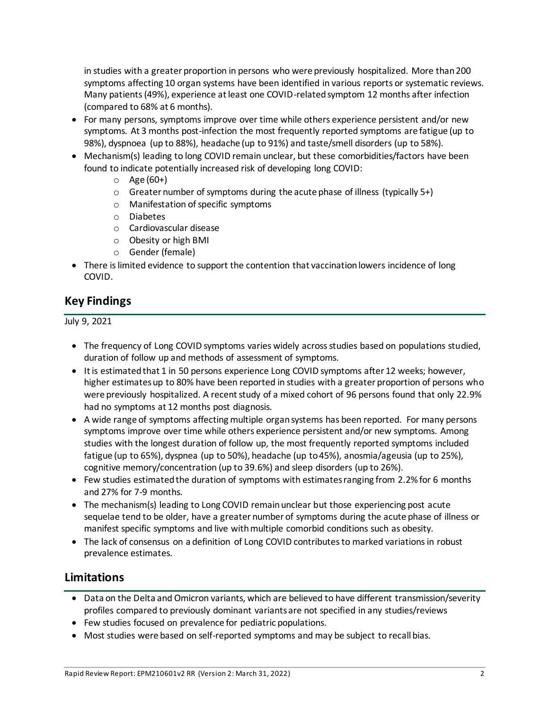in studies with a greater proportion in persons who were previously hospitalized. More than 200 symptoms affecting 10 organ systems have been identified in various reports or systematic reviews. Many patients (49%), experience at least one COVID-related symptom 12 months after infection (compared to 68% at 6 months).

- For many persons, symptoms improve over time while others experience persistent and/or new symptoms. At 3 months post-infection the most frequently reported symptoms are fatigue (up to 98%), dyspnoea (up to 88%), headache (up to 91%) and taste/smell disorders (up to 58%).
- Mechanism(s) leading to long COVID remain unclear, but these comorbidities/factors have been found to indicate potentially increased risk of developing long COVID:
	- $O$  Age (60+)
	- o Greater number of symptoms during the acute phase of illness (typically 5+)
	- o Manifestation of specific symptoms
	- o Diabetes
	- o Cardiovascular disease
	- o Obesity or high BMI
	- o Gender (female)
- There is limited evidence to support the contention that vaccination lowers incidence of long COVID.

### **Key Findings**

#### July 9, 2021

- The frequency of Long COVID symptoms varies widely across studies based on populations studied, duration of follow up and methods of assessment of symptoms.
- It is estimated that 1 in 50 persons experience Long COVID symptoms after 12 weeks; however, higher estimates up to 80% have been reported in studies with a greater proportion of persons who were previously hospitalized. A recent study of a mixed cohort of 96 persons found that only 22.9% had no symptoms at 12 months post diagnosis.
- A wide range of symptoms affecting multiple organ systems has been reported. For many persons symptoms improve over time while others experience persistent and/or new symptoms. Among studies with the longest duration of follow up, the most frequently reported symptoms included fatigue (up to 65%), dyspnea (up to 50%), headache (up to 45%), anosmia/ageusia (up to 25%), cognitive memory/concentration (up to 39.6%) and sleep disorders (up to 26%).
- Few studies estimated the duration of symptoms with estimates ranging from 2.2% for 6 months and 27% for 7-9 months.
- The mechanism(s) leading to Long COVID remain unclear but those experiencing post acute sequelae tend to be older, have a greater number of symptoms during the acute phase of illness or manifest specific symptoms and live with multiple comorbid conditions such as obesity.
- The lack of consensus on a definition of Long COVID contributes to marked variations in robust prevalence estimates.

### **Limitations**

- Data on the Delta and Omicron variants, which are believed to have different transmission/severity profiles compared to previously dominant variants are not specified in any studies/reviews
- Few studies focused on prevalence for pediatric populations.
- Most studies were based on self-reported symptoms and may be subject to recall bias.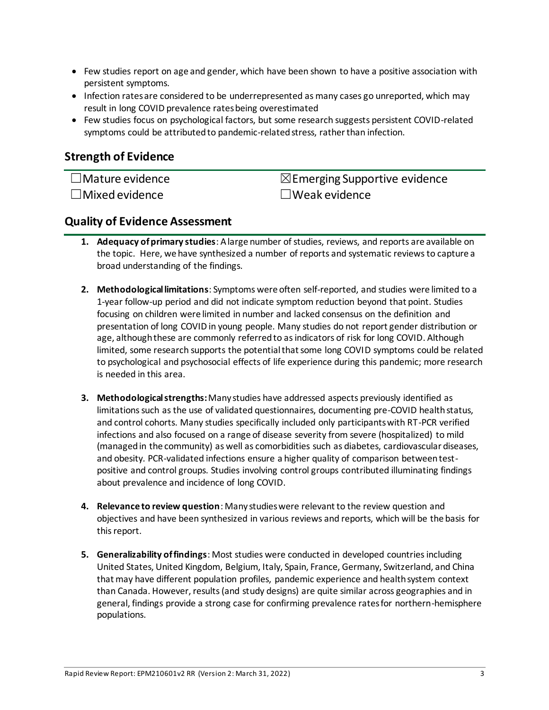- Few studies report on age and gender, which have been shown to have a positive association with persistent symptoms.
- Infection rates are considered to be underrepresented as many cases go unreported, which may result in long COVID prevalence rates being overestimated
- Few studies focus on psychological factors, but some research suggests persistent COVID-related symptoms could be attributed to pandemic-related stress, rather than infection.

### **Strength of Evidence**

☐Mature evidence ☒Emerging Supportive evidence ☐Mixed evidence ☐Weak evidence

### **Quality of Evidence Assessment**

- **1. Adequacy of primary studies**: A large number of studies, reviews, and reports are available on the topic. Here, we have synthesized a number of reports and systematic reviews to capture a broad understanding of the findings.
- **2. Methodological limitations**: Symptoms were often self-reported, and studies were limited to a 1-year follow-up period and did not indicate symptom reduction beyond that point. Studies focusing on children were limited in number and lacked consensus on the definition and presentation of long COVID in young people. Many studies do not report gender distribution or age, although these are commonly referred to as indicators of risk for long COVID. Although limited, some research supports the potential that some long COVID symptoms could be related to psychological and psychosocial effects of life experience during this pandemic; more research is needed in this area.
- **3. Methodological strengths:**Many studies have addressed aspects previously identified as limitations such as the use of validated questionnaires, documenting pre-COVID health status, and control cohorts. Many studies specifically included only participants with RT-PCR verified infections and also focused on a range of disease severity from severe (hospitalized) to mild (managed in the community) as well as comorbidities such as diabetes, cardiovascular diseases, and obesity. PCR-validated infections ensure a higher quality of comparison between testpositive and control groups. Studies involving control groups contributed illuminating findings about prevalence and incidence of long COVID.
- **4. Relevance to review question**: Many studies were relevant to the review question and objectives and have been synthesized in various reviews and reports, which will be the basis for this report.
- **5. Generalizability of findings**: Most studies were conducted in developed countries including United States, United Kingdom, Belgium, Italy, Spain, France, Germany, Switzerland, and China that may have different population profiles, pandemic experience and health system context than Canada. However, results (and study designs) are quite similar across geographies and in general, findings provide a strong case for confirming prevalence rates for northern-hemisphere populations.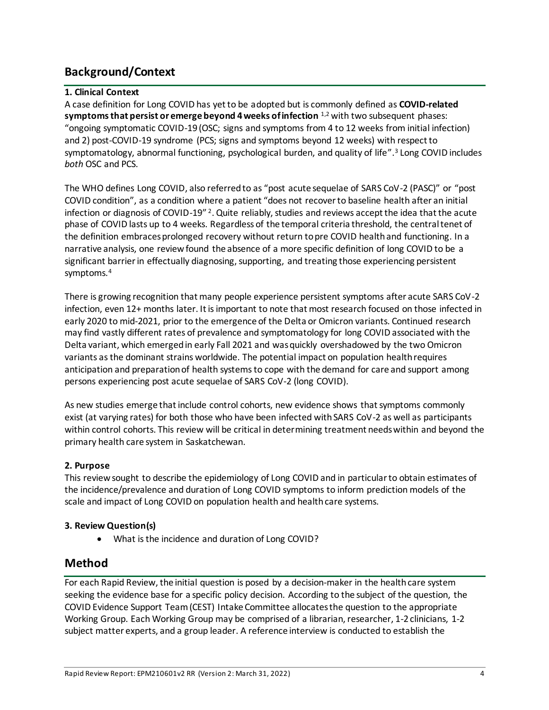# **Background/Context**

#### **1. Clinical Context**

A case definition for Long COVID has yet to be adopted but is commonly defined as **COVID-related symptoms that persist or emerge beyond 4 weeks of infection** 1,2 with two subsequent phases: "ongoing symptomatic COVID-19 (OSC; signs and symptoms from 4 to 12 weeks from initial infection) and 2) post-COVID-19 syndrome (PCS; signs and symptoms beyond 12 weeks) with respect to symptomatology, abnormal functioning, psychological burden, and quality of life". <sup>3</sup> Long COVID includes *both* OSC and PCS.

The WHO defines Long COVID, also referred to as "post acute sequelae of SARS CoV-2 (PASC)" or "post COVID condition", as a condition where a patient "does not recover to baseline health after an initial infection or diagnosis of COVID-19"<sup>2</sup>. Quite reliably, studies and reviews accept the idea that the acute phase of COVID lasts up to 4 weeks. Regardless of the temporal criteria threshold, the central tenet of the definition embraces prolonged recovery without return to pre COVID health and functioning. In a narrative analysis, one review found the absence of a more specific definition of long COVID to be a significant barrier in effectually diagnosing, supporting, and treating those experiencing persistent symptoms.<sup>4</sup>

There is growing recognition that many people experience persistent symptoms after acute SARS CoV-2 infection, even 12+ months later. It is important to note that most research focused on those infected in early 2020 to mid-2021, prior to the emergence of the Delta or Omicron variants. Continued research may find vastly different rates of prevalence and symptomatology for long COVID associated with the Delta variant, which emerged in early Fall 2021 and was quickly overshadowed by the two Omicron variants as the dominant strains worldwide. The potential impact on population health requires anticipation and preparation of health systems to cope with the demand for care and support among persons experiencing post acute sequelae of SARS CoV-2 (long COVID).

As new studies emerge that include control cohorts, new evidence shows that symptoms commonly exist (at varying rates) for both those who have been infected with SARS CoV-2 as well as participants within control cohorts. This review will be critical in determining treatment needs within and beyond the primary health care system in Saskatchewan.

#### **2. Purpose**

This review sought to describe the epidemiology of Long COVID and in particular to obtain estimates of the incidence/prevalence and duration of Long COVID symptoms to inform prediction models of the scale and impact of Long COVID on population health and health care systems.

#### **3. Review Question(s)**

What is the incidence and duration of Long COVID?

### **Method**

For each Rapid Review, the initial question is posed by a decision-maker in the health care system seeking the evidence base for a specific policy decision. According to the subject of the question, the COVID Evidence Support Team (CEST) Intake Committee allocates the question to the appropriate Working Group. Each Working Group may be comprised of a librarian, researcher, 1-2 clinicians, 1-2 subject matter experts, and a group leader. A reference interview is conducted to establish the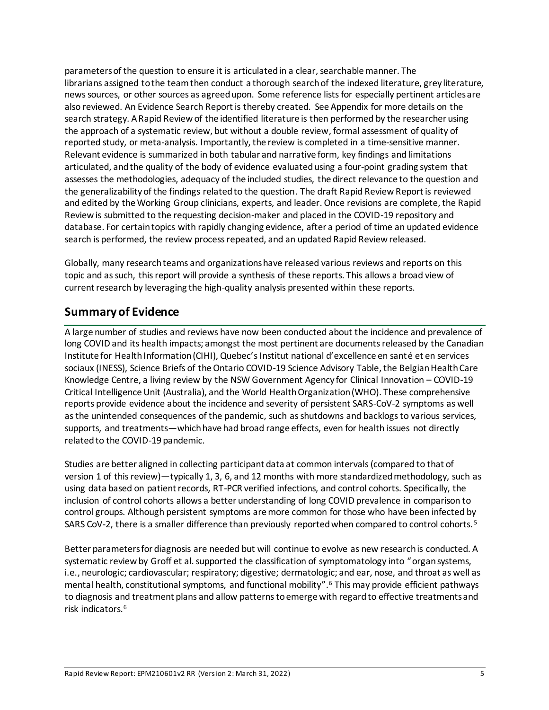parameters of the question to ensure it is articulated in a clear, searchable manner. The librarians assigned to the team then conduct a thorough search of the indexed literature, grey literature, news sources, or other sources as agreed upon. Some reference lists for especially pertinent articles are also reviewed. An Evidence Search Report is thereby created. See Appendix for more details on the search strategy. A Rapid Review of the identified literature is then performed by the researcher using the approach of a systematic review, but without a double review, formal assessment of quality of reported study, or meta-analysis. Importantly, the review is completed in a time-sensitive manner. Relevant evidence is summarized in both tabular and narrative form, key findings and limitations articulated, and the quality of the body of evidence evaluated using a four-point grading system that assesses the methodologies, adequacy of the included studies, the direct relevance to the question and the generalizability of the findings related to the question. The draft Rapid Review Report is reviewed and edited by the Working Group clinicians, experts, and leader. Once revisions are complete, the Rapid Review is submitted to the requesting decision-maker and placed in the COVID-19 repository and database. For certain topics with rapidly changing evidence, after a period of time an updated evidence search is performed, the review process repeated, and an updated Rapid Review released.

Globally, many research teams and organizations have released various reviews and reports on this topic and as such, this report will provide a synthesis of these reports. This allows a broad view of current research by leveraging the high-quality analysis presented within these reports.

# **Summary of Evidence**

A large number of studies and reviews have now been conducted about the incidence and prevalence of long COVID and its health impacts; amongst the most pertinent are documents released by the Canadian Institute for Health Information (CIHI), Quebec's Institut national d'excellence en santé et en services sociaux (INESS), Science Briefs of the Ontario COVID-19 Science Advisory Table, the Belgian Health Care Knowledge Centre, a living review by the NSW Government Agency for Clinical Innovation – COVID-19 Critical Intelligence Unit (Australia), and the World Health Organization (WHO). These comprehensive reports provide evidence about the incidence and severity of persistent SARS-CoV-2 symptoms as well as the unintended consequences of the pandemic, such as shutdowns and backlogs to various services, supports, and treatments—which have had broad range effects, even for health issues not directly related to the COVID-19 pandemic.

Studies are better aligned in collecting participant data at common intervals (compared to that of version 1 of this review)—typically 1, 3, 6, and 12 months with more standardized methodology, such as using data based on patient records, RT-PCR verified infections, and control cohorts. Specifically, the inclusion of control cohorts allows a better understanding of long COVID prevalence in comparison to control groups. Although persistent symptoms are more common for those who have been infected by SARS CoV-2, there is a smaller difference than previously reported when compared to control cohorts.<sup>5</sup>

Better parameters for diagnosis are needed but will continue to evolve as new research is conducted. A systematic review by Groff et al. supported the classification of symptomatology into "organ systems, i.e., neurologic; cardiovascular; respiratory; digestive; dermatologic; and ear, nose, and throat as well as mental health, constitutional symptoms, and functional mobility".<sup>6</sup> This may provide efficient pathways to diagnosis and treatment plans and allow patterns to emerge with regard to effective treatments and risk indicators.6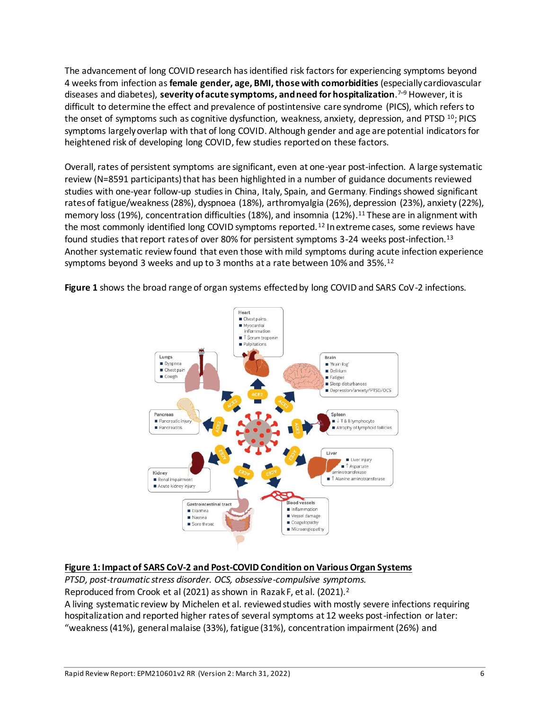The advancement of long COVID research has identified risk factors for experiencing symptoms beyond 4 weeks from infection as **female gender, age, BMI, those with comorbidities** (especially cardiovascular diseases and diabetes), **severity of acute symptoms, and need for hospitalization**. <sup>7</sup>–<sup>9</sup> However, it is difficult to determine the effect and prevalence of postintensive care syndrome (PICS), which refers to the onset of symptoms such as cognitive dysfunction, weakness, anxiety, depression, and PTSD  $^{10}$ ; PICS symptoms largely overlap with that of long COVID. Although gender and age are potential indicators for heightened risk of developing long COVID, few studies reported on these factors.

Overall, rates of persistent symptoms are significant, even at one-year post-infection. A large systematic review (N=8591 participants) that has been highlighted in a number of guidance documents reviewed studies with one-year follow-up studiesin China, Italy, Spain, and Germany. Findings showed significant rates of fatigue/weakness (28%), dyspnoea (18%), arthromyalgia (26%), depression (23%), anxiety (22%), memory loss (19%), concentration difficulties (18%), and insomnia (12%).<sup>11</sup> These are in alignment with the most commonly identified long COVID symptoms reported.<sup>12</sup> In extreme cases, some reviews have found studies that report rates of over 80% for persistent symptoms 3-24 weeks post-infection.<sup>13</sup> Another systematic review found that even those with mild symptoms during acute infection experience symptoms beyond 3 weeks and up to 3 months at a rate between 10% and 35%.<sup>12</sup>



**Figure 1** shows the broad range of organ systems effected by long COVID and SARS CoV-2 infections.

#### **Figure 1: Impact of SARS CoV-2 and Post-COVID Condition on Various Organ Systems**

*PTSD, post-traumatic stress disorder. OCS, obsessive-compulsive symptoms.* Reproduced from Crook et al (2021) as shown in Razak F, et al. (2021).<sup>2</sup> A living systematic review by Michelen et al. reviewed studies with mostly severe infections requiring hospitalization and reported higher rates of several symptoms at 12 weeks post-infection or later: "weakness (41%), general malaise (33%), fatigue (31%), concentration impairment (26%) and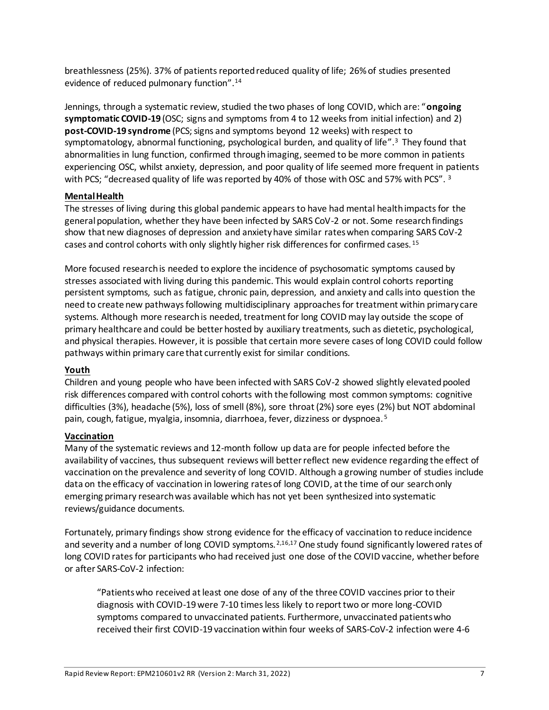breathlessness (25%). 37% of patients reported reduced quality of life; 26% of studies presented evidence of reduced pulmonary function". 14

Jennings, through a systematic review, studied the two phases of long COVID, which are: "**ongoing symptomatic COVID-19** (OSC; signs and symptoms from 4 to 12 weeks from initial infection) and 2) **post-COVID-19 syndrome** (PCS; signs and symptoms beyond 12 weeks) with respect to symptomatology, abnormal functioning, psychological burden, and quality of life".<sup>3</sup> They found that abnormalities in lung function, confirmed through imaging, seemed to be more common in patients experiencing OSC, whilst anxiety, depression, and poor quality of life seemed more frequent in patients with PCS; "decreased quality of life was reported by 40% of those with OSC and 57% with PCS". <sup>3</sup>

#### **Mental Health**

The stresses of living during this global pandemic appears to have had mental health impacts for the general population, whether they have been infected by SARS CoV-2 or not. Some research findings show that new diagnoses of depression and anxiety have similar rates when comparing SARS CoV-2 cases and control cohorts with only slightly higher risk differences for confirmed cases.<sup>15</sup>

More focused research is needed to explore the incidence of psychosomatic symptoms caused by stresses associated with living during this pandemic. This would explain control cohorts reporting persistent symptoms, such as fatigue, chronic pain, depression, and anxiety and calls into question the need to create new pathways following multidisciplinary approaches for treatment within primary care systems. Although more research is needed, treatment for long COVID may lay outside the scope of primary healthcare and could be better hosted by auxiliary treatments, such as dietetic, psychological, and physical therapies. However, it is possible that certain more severe cases of long COVID could follow pathways within primary care that currently exist for similar conditions.

#### **Youth**

Children and young people who have been infected with SARS CoV-2 showed slightly elevated pooled risk differences compared with control cohorts with the following most common symptoms: cognitive difficulties (3%), headache (5%), loss of smell (8%), sore throat (2%) sore eyes (2%) but NOT abdominal pain, cough, fatigue, myalgia, insomnia, diarrhoea, fever, dizziness or dyspnoea. <sup>5</sup>

#### **Vaccination**

Many of the systematic reviews and 12-month follow up data are for people infected before the availability of vaccines, thus subsequent reviews will better reflect new evidence regarding the effect of vaccination on the prevalence and severity of long COVID. Although a growing number of studies include data on the efficacy of vaccination in lowering rates of long COVID, at the time of our search only emerging primary research was available which has not yet been synthesized into systematic reviews/guidance documents.

Fortunately, primary findings show strong evidence for the efficacy of vaccination to reduce incidence and severity and a number of long COVID symptoms.<sup>2,16,17</sup> One study found significantly lowered rates of long COVID rates for participants who had received just one dose of the COVID vaccine, whether before or after SARS-CoV-2 infection:

"Patients who received at least one dose of any of the three COVID vaccines prior to their diagnosis with COVID-19 were 7-10 times less likely to report two or more long-COVID symptoms compared to unvaccinated patients. Furthermore, unvaccinated patients who received their first COVID-19 vaccination within four weeks of SARS-CoV-2 infection were 4-6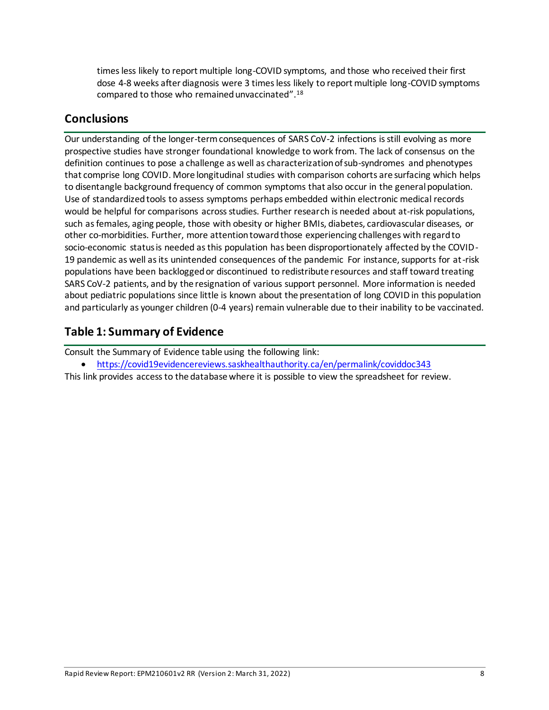times less likely to report multiple long-COVID symptoms, and those who received their first dose 4-8 weeks after diagnosis were 3 times less likely to report multiple long-COVID symptoms compared to those who remained unvaccinated".<sup>18</sup>

### **Conclusions**

Our understanding of the longer-term consequences of SARS CoV-2 infections is still evolving as more prospective studies have stronger foundational knowledge to work from. The lack of consensus on the definition continues to pose a challenge as well as characterization of sub-syndromes and phenotypes that comprise long COVID. More longitudinal studies with comparison cohorts are surfacing which helps to disentangle background frequency of common symptoms that also occur in the general population. Use of standardized tools to assess symptoms perhaps embedded within electronic medical records would be helpful for comparisons across studies. Further research is needed about at-risk populations, such as females, aging people, those with obesity or higher BMIs, diabetes, cardiovascular diseases, or other co-morbidities. Further, more attention toward those experiencing challenges with regard to socio-economic status is needed as this population has been disproportionately affected by the COVID-19 pandemic as well as its unintended consequences of the pandemic For instance, supports for at-risk populations have been backlogged or discontinued to redistribute resources and staff toward treating SARS CoV-2 patients, and by the resignation of various support personnel. More information is needed about pediatric populations since little is known about the presentation of long COVID in this population and particularly as younger children (0-4 years) remain vulnerable due to their inability to be vaccinated.

# **Table 1: Summary of Evidence**

Consult the Summary of Evidence table using the following link:

<https://covid19evidencereviews.saskhealthauthority.ca/en/permalink/coviddoc343>

This link provides access to the database where it is possible to view the spreadsheet for review.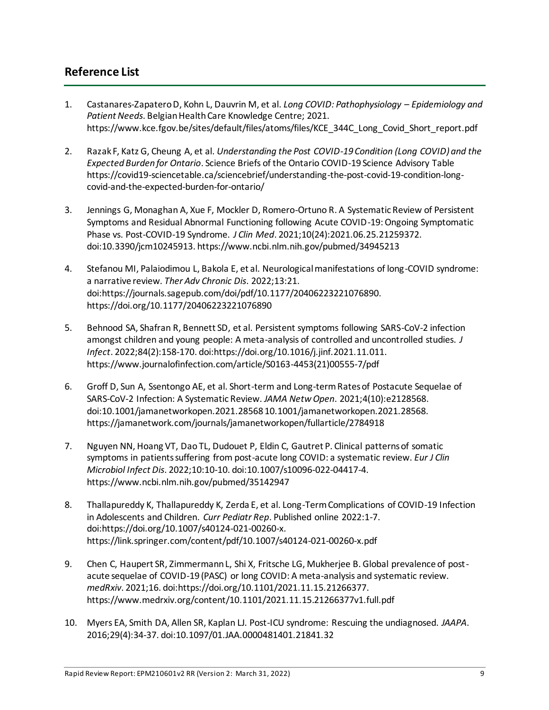### **Reference List**

- 1. Castanares-Zapatero D, Kohn L, Dauvrin M, et al. *Long COVID: Pathophysiology – Epidemiology and Patient Needs*. Belgian Health Care Knowledge Centre; 2021. https://www.kce.fgov.be/sites/default/files/atoms/files/KCE\_344C\_Long\_Covid\_Short\_report.pdf
- 2. Razak F, Katz G, Cheung A, et al. *Understanding the Post COVID-19 Condition (Long COVID) and the Expected Burden for Ontario*. Science Briefs of the Ontario COVID-19 Science Advisory Table https://covid19-sciencetable.ca/sciencebrief/understanding-the-post-covid-19-condition-longcovid-and-the-expected-burden-for-ontario/
- 3. Jennings G, Monaghan A, Xue F, Mockler D, Romero-Ortuno R. A Systematic Review of Persistent Symptoms and Residual Abnormal Functioning following Acute COVID-19: Ongoing Symptomatic Phase vs. Post-COVID-19 Syndrome. *J Clin Med*. 2021;10(24):2021.06.25.21259372. doi:10.3390/jcm10245913. https://www.ncbi.nlm.nih.gov/pubmed/34945213
- 4. Stefanou MI, Palaiodimou L, Bakola E, et al. Neurological manifestations of long-COVID syndrome: a narrative review. *Ther Adv Chronic Dis*. 2022;13:21. doi:https://journals.sagepub.com/doi/pdf/10.1177/20406223221076890. https://doi.org/10.1177/20406223221076890
- 5. Behnood SA, Shafran R, Bennett SD, et al. Persistent symptoms following SARS-CoV-2 infection amongst children and young people: A meta-analysis of controlled and uncontrolled studies. *J Infect*. 2022;84(2):158-170. doi:https://doi.org/10.1016/j.jinf.2021.11.011. https://www.journalofinfection.com/article/S0163-4453(21)00555-7/pdf
- 6. Groff D, Sun A, Ssentongo AE, et al. Short-term and Long-term Rates of Postacute Sequelae of SARS-CoV-2 Infection: A Systematic Review. *JAMA Netw Open*. 2021;4(10):e2128568. doi:10.1001/jamanetworkopen.2021.28568 10.1001/jamanetworkopen.2021.28568. https://jamanetwork.com/journals/jamanetworkopen/fullarticle/2784918
- 7. Nguyen NN, Hoang VT, Dao TL, Dudouet P, Eldin C, Gautret P. Clinical patterns of somatic symptoms in patients suffering from post-acute long COVID: a systematic review. *Eur J Clin Microbiol Infect Dis*. 2022;10:10-10. doi:10.1007/s10096-022-04417-4. https://www.ncbi.nlm.nih.gov/pubmed/35142947
- 8. Thallapureddy K, Thallapureddy K, Zerda E, et al. Long-Term Complications of COVID-19 Infection in Adolescents and Children. *Curr Pediatr Rep*. Published online 2022:1-7. doi:https://doi.org/10.1007/s40124-021-00260-x. https://link.springer.com/content/pdf/10.1007/s40124-021-00260-x.pdf
- 9. Chen C, Haupert SR, Zimmermann L, Shi X, Fritsche LG, Mukherjee B. Global prevalence of postacute sequelae of COVID-19 (PASC) or long COVID: A meta-analysis and systematic review. *medRxiv*. 2021;16. doi:https://doi.org/10.1101/2021.11.15.21266377. https://www.medrxiv.org/content/10.1101/2021.11.15.21266377v1.full.pdf
- 10. Myers EA, Smith DA, Allen SR, Kaplan LJ. Post-ICU syndrome: Rescuing the undiagnosed. *JAAPA*. 2016;29(4):34-37. doi:10.1097/01.JAA.0000481401.21841.32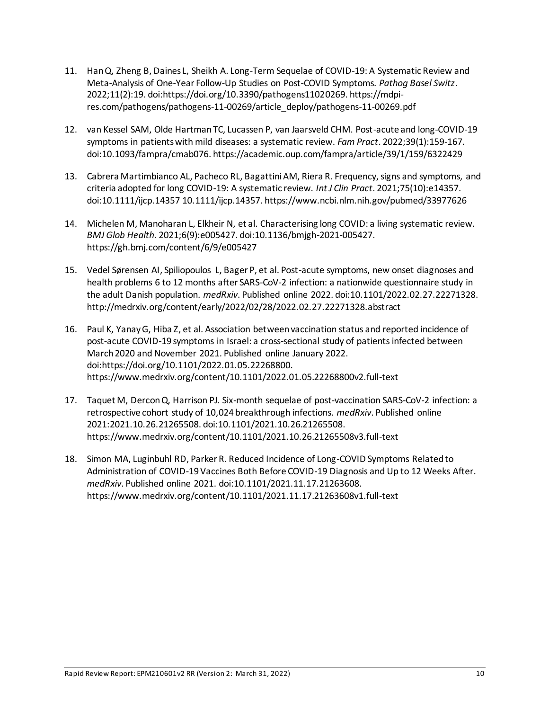- 11. Han Q, Zheng B, Daines L, Sheikh A. Long-Term Sequelae of COVID-19: A Systematic Review and Meta-Analysis of One-Year Follow-Up Studies on Post-COVID Symptoms. *Pathog Basel Switz*. 2022;11(2):19. doi:https://doi.org/10.3390/pathogens11020269. https://mdpires.com/pathogens/pathogens-11-00269/article\_deploy/pathogens-11-00269.pdf
- 12. van Kessel SAM, Olde Hartman TC, Lucassen P, van Jaarsveld CHM. Post-acute and long-COVID-19 symptoms in patients with mild diseases: a systematic review. *Fam Pract*. 2022;39(1):159-167. doi:10.1093/fampra/cmab076. https://academic.oup.com/fampra/article/39/1/159/6322429
- 13. Cabrera Martimbianco AL, Pacheco RL, Bagattini AM, Riera R. Frequency, signs and symptoms, and criteria adopted for long COVID-19: A systematic review. *Int J Clin Pract*. 2021;75(10):e14357. doi:10.1111/ijcp.14357 10.1111/ijcp.14357. https://www.ncbi.nlm.nih.gov/pubmed/33977626
- 14. Michelen M, Manoharan L, Elkheir N, et al. Characterising long COVID: a living systematic review. *BMJ Glob Health*. 2021;6(9):e005427. doi:10.1136/bmjgh-2021-005427. https://gh.bmj.com/content/6/9/e005427
- 15. Vedel Sørensen AI, Spiliopoulos L, Bager P, et al. Post-acute symptoms, new onset diagnoses and health problems 6 to 12 months after SARS-CoV-2 infection: a nationwide questionnaire study in the adult Danish population. *medRxiv*. Published online 2022. doi:10.1101/2022.02.27.22271328. http://medrxiv.org/content/early/2022/02/28/2022.02.27.22271328.abstract
- 16. Paul K, Yanay G, Hiba Z, et al. Association between vaccination status and reported incidence of post-acute COVID-19 symptoms in Israel: a cross-sectional study of patients infected between March 2020 and November 2021. Published online January 2022. doi:https://doi.org/10.1101/2022.01.05.22268800. https://www.medrxiv.org/content/10.1101/2022.01.05.22268800v2.full-text
- 17. Taquet M, Dercon Q, Harrison PJ. Six-month sequelae of post-vaccination SARS-CoV-2 infection: a retrospective cohort study of 10,024 breakthrough infections. *medRxiv*. Published online 2021:2021.10.26.21265508. doi:10.1101/2021.10.26.21265508. https://www.medrxiv.org/content/10.1101/2021.10.26.21265508v3.full-text
- 18. Simon MA, Luginbuhl RD, Parker R. Reduced Incidence of Long-COVID Symptoms Related to Administration of COVID-19 Vaccines Both Before COVID-19 Diagnosis and Up to 12 Weeks After. *medRxiv*. Published online 2021. doi:10.1101/2021.11.17.21263608. https://www.medrxiv.org/content/10.1101/2021.11.17.21263608v1.full-text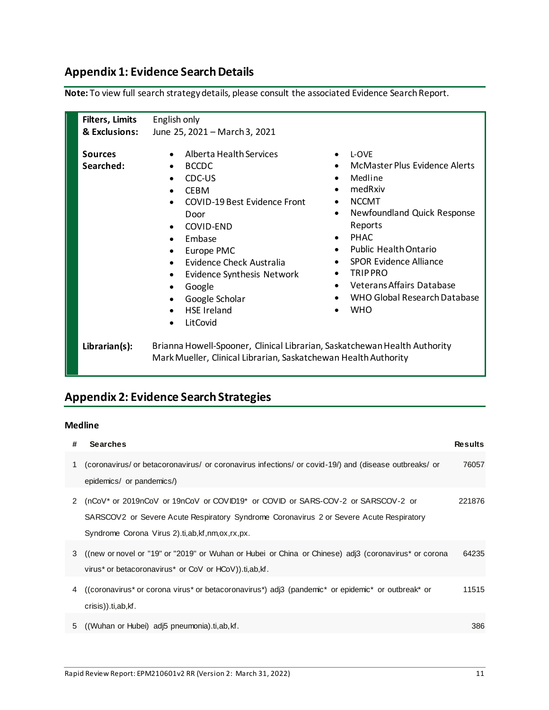# **Appendix 1: Evidence Search Details**

| <b>Filters, Limits</b>      | English only                                                                                                                                                                                                                                                                                                                                                                                      |                                                                                                                                                                                                                                                                                                                                                                                                                           |
|-----------------------------|---------------------------------------------------------------------------------------------------------------------------------------------------------------------------------------------------------------------------------------------------------------------------------------------------------------------------------------------------------------------------------------------------|---------------------------------------------------------------------------------------------------------------------------------------------------------------------------------------------------------------------------------------------------------------------------------------------------------------------------------------------------------------------------------------------------------------------------|
| & Exclusions:               | June 25, 2021 - March 3, 2021                                                                                                                                                                                                                                                                                                                                                                     |                                                                                                                                                                                                                                                                                                                                                                                                                           |
| <b>Sources</b><br>Searched: | Alberta Health Services<br>$\bullet$<br><b>BCCDC</b><br>$\bullet$<br>CDC-US<br><b>CEBM</b><br>$\bullet$<br><b>COVID-19 Best Evidence Front</b><br>Door<br>COVID-END<br>$\bullet$<br>Embase<br>Europe PMC<br>$\bullet$<br>Evidence Check Australia<br>Evidence Synthesis Network<br>$\bullet$<br>Google<br>Google Scholar<br>$\bullet$<br><b>HSE</b> Ireland<br>$\bullet$<br>LitCovid<br>$\bullet$ | L-OVE<br>$\bullet$<br>McMaster Plus Evidence Alerts<br>Medline<br>$\bullet$<br>medRxiv<br>$\bullet$<br><b>NCCMT</b><br>$\bullet$<br>Newfoundland Quick Response<br>$\bullet$<br>Reports<br><b>PHAC</b><br>$\bullet$<br><b>Public Health Ontario</b><br>$\bullet$<br><b>SPOR Evidence Alliance</b><br>TRIP PRO<br>$\bullet$<br><b>Veterans Affairs Database</b><br>$\bullet$<br>WHO Global Research Database<br><b>WHO</b> |
| Librarian(s):               | Brianna Howell-Spooner, Clinical Librarian, Saskatchewan Health Authority<br>Mark Mueller, Clinical Librarian, Saskatchewan Health Authority                                                                                                                                                                                                                                                      |                                                                                                                                                                                                                                                                                                                                                                                                                           |

**Note:** To view full search strategy details, please consult the associated Evidence Search Report.

# **Appendix 2: Evidence Search Strategies**

#### **Medline**

| # | <b>Searches</b>                                                                                                                                                                                                                    | <b>Results</b> |
|---|------------------------------------------------------------------------------------------------------------------------------------------------------------------------------------------------------------------------------------|----------------|
| 1 | (coronavirus/ or betacoronavirus/ or coronavirus infections/ or covid-19/) and (disease outbreaks/ or<br>epidemics/ or pandemics/)                                                                                                 | 76057          |
| 2 | (nCoV* or 2019nCoV or 19nCoV or COVID19* or COVID or SARS-COV-2 or SARSCOV-2 or<br>SARSCOV2 or Severe Acute Respiratory Syndrome Coronavirus 2 or Severe Acute Respiratory<br>Syndrome Corona Virus 2. ti, ab, kf, nm, ox, rx, px. | 221876         |
|   | 3 ((new or novel or "19" or "2019" or Wuhan or Hubei or China or Chinese) adj3 (coronavirus* or corona<br>virus* or betacoronavirus* or CoV or HCoV)).ti,ab, kf.                                                                   | 64235          |
|   | 4 ((coronavirus* or corona virus* or betacoronavirus*) adj3 (pandemic* or epidemic* or outbreak* or<br>crisis)).ti,ab,kf.                                                                                                          | 11515          |
|   | 5 (Wuhan or Hubei) adi <sub>5</sub> pneumonia).ti,ab, kf.                                                                                                                                                                          | 386            |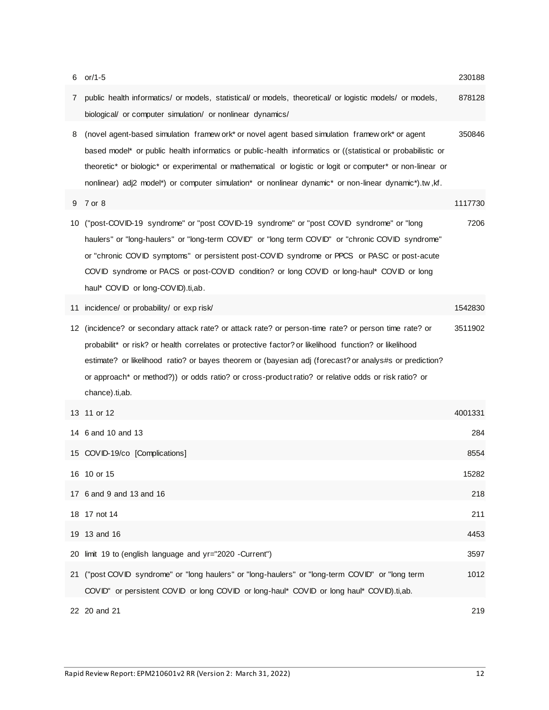| 6  | or/1-5                                                                                                                                                                                                                                                                                                                                                                                                                                            | 230188  |
|----|---------------------------------------------------------------------------------------------------------------------------------------------------------------------------------------------------------------------------------------------------------------------------------------------------------------------------------------------------------------------------------------------------------------------------------------------------|---------|
| 7  | public health informatics/ or models, statistical/ or models, theoretical/ or logistic models/ or models,<br>biological/ or computer simulation/ or nonlinear dynamics/                                                                                                                                                                                                                                                                           | 878128  |
| 8  | (novel agent-based simulation framew ork* or novel agent based simulation framew ork* or agent<br>based model* or public health informatics or public-health informatics or ((statistical or probabilistic or<br>theoretic* or biologic* or experimental or mathematical or logistic or logit or computer* or non-linear or<br>nonlinear) adj2 model*) or computer simulation* or nonlinear dynamic* or non-linear dynamic*).tw,kf.               | 350846  |
| 9  | 7 or 8                                                                                                                                                                                                                                                                                                                                                                                                                                            | 1117730 |
| 10 | ("post-COVID-19 syndrome" or "post COVID-19 syndrome" or "post COVID syndrome" or "long<br>haulers" or "long-haulers" or "long-term COVID" or "long term COVID" or "chronic COVID syndrome"<br>or "chronic COVID symptoms" or persistent post-COVID syndrome or PPCS or PASC or post-acute<br>COVID syndrome or PACS or post-COVID condition? or long COVID or long-haul* COVID or long<br>haul* COVID or long-COVID).ti,ab.                      | 7206    |
| 11 | incidence/ or probability/ or exp risk/                                                                                                                                                                                                                                                                                                                                                                                                           | 1542830 |
|    | 12 (incidence? or secondary attack rate? or attack rate? or person-time rate? or person time rate? or<br>probabilit* or risk? or health correlates or protective factor? or likelihood function? or likelihood<br>estimate? or likelihood ratio? or bayes theorem or (bayesian adj (forecast? or analys#s or prediction?<br>or approach* or method?)) or odds ratio? or cross-product ratio? or relative odds or risk ratio? or<br>chance).ti,ab. | 3511902 |
|    | 13 11 or 12                                                                                                                                                                                                                                                                                                                                                                                                                                       | 4001331 |
|    | 14 6 and 10 and 13                                                                                                                                                                                                                                                                                                                                                                                                                                | 284     |
|    | 15 COVID-19/co [Complications]                                                                                                                                                                                                                                                                                                                                                                                                                    | 8554    |
|    | 16 10 or 15                                                                                                                                                                                                                                                                                                                                                                                                                                       | 15282   |
|    | 17 6 and 9 and 13 and 16                                                                                                                                                                                                                                                                                                                                                                                                                          | 218     |
|    | 18 17 not 14                                                                                                                                                                                                                                                                                                                                                                                                                                      | 211     |
|    | 19 13 and 16                                                                                                                                                                                                                                                                                                                                                                                                                                      | 4453    |
|    | 20 limit 19 to (english language and yr="2020 -Current")                                                                                                                                                                                                                                                                                                                                                                                          | 3597    |
| 21 | ("post COVID syndrome" or "long haulers" or "long-haulers" or "long-term COVID" or "long term<br>COVID" or persistent COVID or long COVID or long-haul* COVID or long haul* COVID).ti,ab.                                                                                                                                                                                                                                                         | 1012    |
|    | 22 20 and 21                                                                                                                                                                                                                                                                                                                                                                                                                                      | 219     |

Rapid Review Report: EPM210601v2 RR (Version 2: March 31, 2022) 12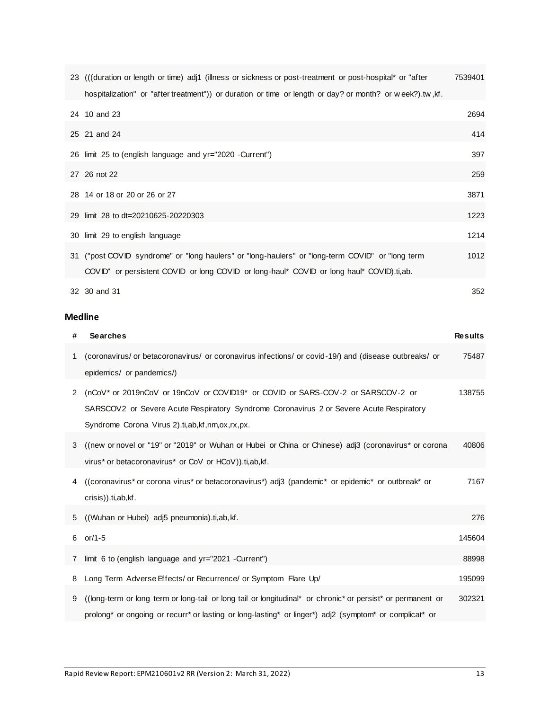| 23 (((duration or length or time) adj1 (illness or sickness or post-treatment or post-hospital* or "after | 7539401 |
|-----------------------------------------------------------------------------------------------------------|---------|
| hospitalization" or "after treatment") or duration or time or length or day? or month? or week?).tw, kf.  |         |
| 24 10 and 23                                                                                              | 2694    |
| 25 21 and 24                                                                                              | 414     |
| 26 limit 25 to (english language and yr="2020 -Current")                                                  | 397     |
| 27 26 not 22                                                                                              | 259     |
| 28 14 or 18 or 20 or 26 or 27                                                                             | 3871    |
| 29 limit 28 to dt=20210625-20220303                                                                       | 1223    |
| 30 limit 29 to english language                                                                           | 1214    |
| 31 ("post COVID syndrome" or "long haulers" or "long-haulers" or "long-term COVID" or "long term          | 1012    |
| COVID" or persistent COVID or long COVID or long-haul* COVID or long haul* COVID).ti,ab.                  |         |
| 32 30 and 31                                                                                              | 352     |

### **Medline**

| # | <b>Searches</b>                                                                                                                                                                                                                   | <b>Results</b> |
|---|-----------------------------------------------------------------------------------------------------------------------------------------------------------------------------------------------------------------------------------|----------------|
| 1 | (coronavirus/ or betacoronavirus/ or coronavirus infections/ or covid-19/) and (disease outbreaks/ or<br>epidemics/ or pandemics/)                                                                                                | 75487          |
| 2 | (nCoV* or 2019nCoV or 19nCoV or COVID19* or COVID or SARS-COV-2 or SARSCOV-2 or<br>SARSCOV2 or Severe Acute Respiratory Syndrome Coronavirus 2 or Severe Acute Respiratory<br>Syndrome Corona Virus 2).ti,ab, kf, nm, ox, rx, px. | 138755         |
| 3 | ((new or novel or "19" or "2019" or Wuhan or Hubei or China or Chinese) adj3 (coronavirus* or corona<br>virus* or betacoronavirus* or CoV or HCoV)).ti,ab, kf.                                                                    | 40806          |
|   | 4 ((coronavirus* or corona virus* or betacoronavirus*) adj3 (pandemic* or epidemic* or outbreak* or<br>crisis)).ti,ab,kf.                                                                                                         | 7167           |
| 5 | ((Wuhan or Hubei) adj5 pneumonia).ti,ab, kf.                                                                                                                                                                                      | 276            |
|   | 6 $or/1-5$                                                                                                                                                                                                                        | 145604         |
| 7 | limit 6 to (english language and yr="2021 - Current")                                                                                                                                                                             | 88998          |
| 8 | Long Term Adverse Effects/ or Recurrence/ or Symptom Flare Up/                                                                                                                                                                    | 195099         |
| 9 | (long-term or long term or long-tail or long tail or longitudinal* or chronic* or persist* or permanent or<br>prolong* or ongoing or recurr* or lasting or long-lasting* or linger*) adj2 (symptom* or complicat* or              | 302321         |
|   |                                                                                                                                                                                                                                   |                |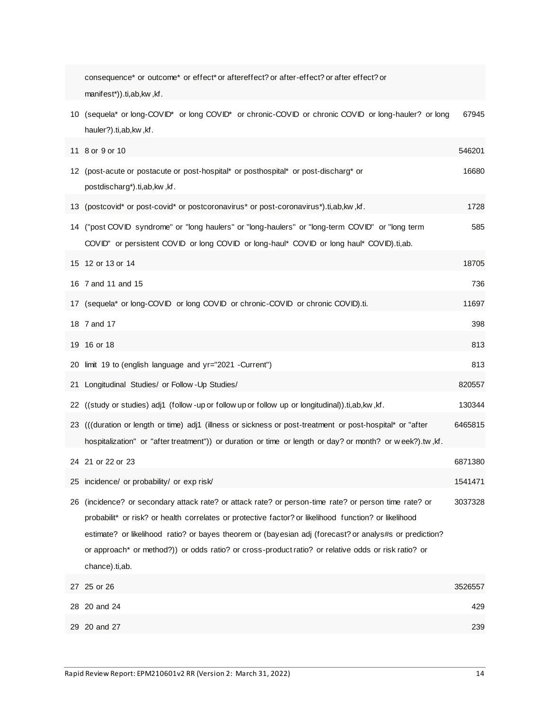|    | consequence* or outcome* or effect* or aftereffect? or after-effect? or after effect? or<br>manifest*)).ti,ab,kw,kf.                                                                                                                                                                                                                                                                                                                           |         |
|----|------------------------------------------------------------------------------------------------------------------------------------------------------------------------------------------------------------------------------------------------------------------------------------------------------------------------------------------------------------------------------------------------------------------------------------------------|---------|
|    | 10 (sequela* or long-COVID* or long COVID* or chronic-COVID or chronic COVID or long-hauler? or long<br>hauler?).ti,ab,kw,kf.                                                                                                                                                                                                                                                                                                                  | 67945   |
|    | 11 8 or 9 or 10                                                                                                                                                                                                                                                                                                                                                                                                                                | 546201  |
|    | 12 (post-acute or postacute or post-hospital* or posthospital* or post-discharg* or<br>postdischarg*).ti,ab,kw,kf.                                                                                                                                                                                                                                                                                                                             | 16680   |
|    | 13 (postcovid* or post-covid* or postcoronavirus* or post-coronavirus*).ti,ab,kw,kf.                                                                                                                                                                                                                                                                                                                                                           | 1728    |
|    | 14 ("post COVID syndrome" or "long haulers" or "long-haulers" or "long-term COVID" or "long term<br>COVID" or persistent COVID or long COVID or long-haul* COVID or long haul* COVID).ti,ab.                                                                                                                                                                                                                                                   | 585     |
|    | 15 12 or 13 or 14                                                                                                                                                                                                                                                                                                                                                                                                                              | 18705   |
|    | 16 7 and 11 and 15                                                                                                                                                                                                                                                                                                                                                                                                                             | 736     |
|    | 17 (sequela* or long-COVID or long COVID or chronic-COVID or chronic COVID).ti.                                                                                                                                                                                                                                                                                                                                                                | 11697   |
|    | 18 7 and 17                                                                                                                                                                                                                                                                                                                                                                                                                                    | 398     |
|    | 19 16 or 18                                                                                                                                                                                                                                                                                                                                                                                                                                    | 813     |
|    | 20 limit 19 to (english language and yr="2021 -Current")                                                                                                                                                                                                                                                                                                                                                                                       | 813     |
|    | 21 Longitudinal Studies/ or Follow - Up Studies/                                                                                                                                                                                                                                                                                                                                                                                               | 820557  |
|    | 22 ((study or studies) adj1 (follow -up or follow up or follow up or longitudinal)).ti,ab,kw,kf.                                                                                                                                                                                                                                                                                                                                               | 130344  |
|    | 23 (((duration or length or time) adj1 (illness or sickness or post-treatment or post-hospital* or "after<br>hospitalization" or "after treatment")) or duration or time or length or day? or month? or w eek?).tw, kf.                                                                                                                                                                                                                        | 6465815 |
|    | 24 21 or 22 or 23                                                                                                                                                                                                                                                                                                                                                                                                                              | 6871380 |
|    | 25 incidence/ or probability/ or exp risk/                                                                                                                                                                                                                                                                                                                                                                                                     | 1541471 |
| 26 | (incidence? or secondary attack rate? or attack rate? or person-time rate? or person time rate? or<br>probabilit* or risk? or health correlates or protective factor? or likelihood function? or likelihood<br>estimate? or likelihood ratio? or bayes theorem or (bayesian adj (forecast? or analys#s or prediction?<br>or approach* or method?)) or odds ratio? or cross-product ratio? or relative odds or risk ratio? or<br>chance).ti,ab. | 3037328 |
|    | 27 25 or 26                                                                                                                                                                                                                                                                                                                                                                                                                                    | 3526557 |
| 28 | 20 and 24                                                                                                                                                                                                                                                                                                                                                                                                                                      | 429     |
|    | 29 20 and 27                                                                                                                                                                                                                                                                                                                                                                                                                                   | 239     |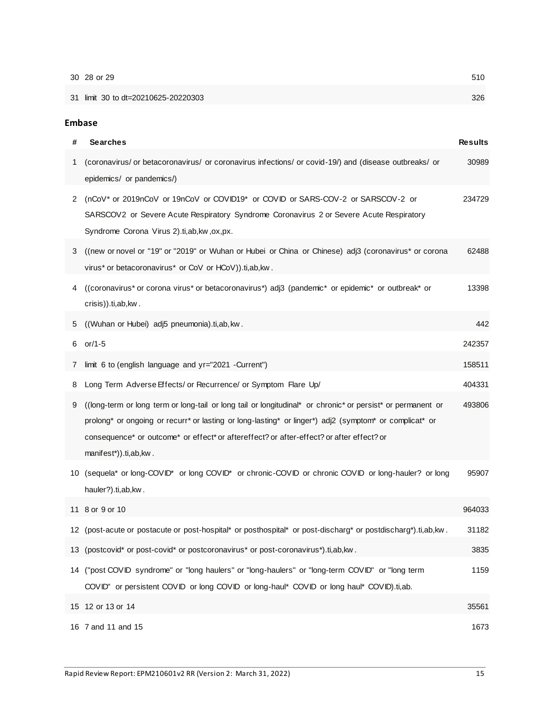|   | 30 28 or 29                                                                                                                                                                                                                                                                                                                                | 510            |
|---|--------------------------------------------------------------------------------------------------------------------------------------------------------------------------------------------------------------------------------------------------------------------------------------------------------------------------------------------|----------------|
|   | 31 limit 30 to dt=20210625-20220303                                                                                                                                                                                                                                                                                                        | 326            |
|   |                                                                                                                                                                                                                                                                                                                                            |                |
|   | <b>Embase</b>                                                                                                                                                                                                                                                                                                                              |                |
| # | <b>Searches</b>                                                                                                                                                                                                                                                                                                                            | <b>Results</b> |
| 1 | (coronavirus/ or betacoronavirus/ or coronavirus infections/ or covid-19/) and (disease outbreaks/ or<br>epidemics/ or pandemics/)                                                                                                                                                                                                         | 30989          |
| 2 | (nCoV* or 2019nCoV or 19nCoV or COVID19* or COVID or SARS-COV-2 or SARSCOV-2 or<br>SARSCOV2 or Severe Acute Respiratory Syndrome Coronavirus 2 or Severe Acute Respiratory<br>Syndrome Corona Virus 2).ti,ab,kw,ox,px.                                                                                                                     | 234729         |
| 3 | ((new or novel or "19" or "2019" or Wuhan or Hubei or China or Chinese) adj3 (coronavirus* or corona<br>virus* or betacoronavirus* or CoV or HCoV)).ti,ab, kw.                                                                                                                                                                             | 62488          |
| 4 | ((coronavirus* or corona virus* or betacoronavirus*) adj3 (pandemic* or epidemic* or outbreak* or<br>crisis)).ti,ab,kw.                                                                                                                                                                                                                    | 13398          |
| 5 | ((Wuhan or Hubei) adj5 pneumonia).ti,ab, kw.                                                                                                                                                                                                                                                                                               | 442            |
| 6 | or/1-5                                                                                                                                                                                                                                                                                                                                     | 242357         |
| 7 | limit 6 to (english language and yr="2021 -Current")                                                                                                                                                                                                                                                                                       | 158511         |
| 8 | Long Term Adverse Effects/ or Recurrence/ or Symptom Flare Up/                                                                                                                                                                                                                                                                             | 404331         |
| 9 | ((long-term or long term or long-tail or long tail or longitudinal* or chronic* or persist* or permanent or<br>prolong* or ongoing or recurr* or lasting or long-lasting* or linger*) adj2 (symptom* or complicat* or<br>consequence* or outcome* or effect* or aftereffect? or after-effect? or after effect? or<br>manifest*)).ti,ab,kw. | 493806         |
|   | 10 (sequela* or long-COVID* or long COVID* or chronic-COVID or chronic COVID or long-hauler? or long<br>hauler?).ti,ab,kw.                                                                                                                                                                                                                 | 95907          |
|   | 11 8 or 9 or 10                                                                                                                                                                                                                                                                                                                            | 964033         |
|   | 12 (post-acute or postacute or post-hospital* or posthospital* or post-discharg* or postdischarg*).ti,ab,kw.                                                                                                                                                                                                                               | 31182          |
|   | 13 (postcovid* or post-covid* or postcoronavirus* or post-coronavirus*).ti,ab,kw.                                                                                                                                                                                                                                                          | 3835           |
|   | 14 ("post COVID syndrome" or "long haulers" or "long-haulers" or "long-term COVID" or "long term<br>COVID" or persistent COVID or long COVID or long-haul* COVID or long haul* COVID).ti,ab.                                                                                                                                               | 1159           |
|   | 15 12 or 13 or 14                                                                                                                                                                                                                                                                                                                          | 35561          |
|   | 16 7 and 11 and 15                                                                                                                                                                                                                                                                                                                         | 1673           |
|   |                                                                                                                                                                                                                                                                                                                                            |                |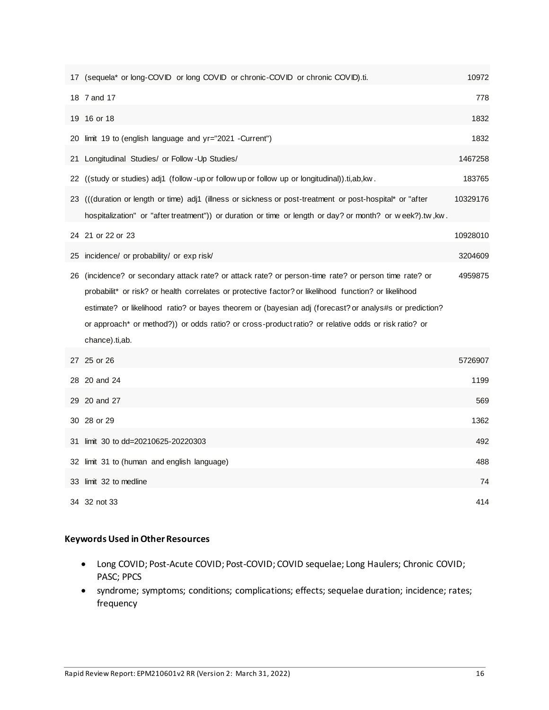|    | 17 (sequela* or long-COVID or long COVID or chronic-COVID or chronic COVID).ti.                                                                                                                                                                                                                                                                                                                                                                | 10972    |
|----|------------------------------------------------------------------------------------------------------------------------------------------------------------------------------------------------------------------------------------------------------------------------------------------------------------------------------------------------------------------------------------------------------------------------------------------------|----------|
|    | 18 7 and 17                                                                                                                                                                                                                                                                                                                                                                                                                                    | 778      |
|    | 19 16 or 18                                                                                                                                                                                                                                                                                                                                                                                                                                    | 1832     |
|    | 20 limit 19 to (english language and yr="2021 -Current")                                                                                                                                                                                                                                                                                                                                                                                       | 1832     |
|    | 21 Longitudinal Studies/ or Follow - Up Studies/                                                                                                                                                                                                                                                                                                                                                                                               | 1467258  |
|    | 22 ((study or studies) adj1 (follow -up or follow up or follow up or longitudinal)).ti,ab,kw.                                                                                                                                                                                                                                                                                                                                                  | 183765   |
|    | 23 (((duration or length or time) adj1 (illness or sickness or post-treatment or post-hospital* or "after<br>hospitalization" or "after treatment")) or duration or time or length or day? or month? or week?).tw, kw.                                                                                                                                                                                                                         | 10329176 |
|    | 24 21 or 22 or 23                                                                                                                                                                                                                                                                                                                                                                                                                              | 10928010 |
| 25 | incidence/ or probability/ or exp risk/                                                                                                                                                                                                                                                                                                                                                                                                        | 3204609  |
| 26 | (incidence? or secondary attack rate? or attack rate? or person-time rate? or person time rate? or<br>probabilit* or risk? or health correlates or protective factor? or likelihood function? or likelihood<br>estimate? or likelihood ratio? or bayes theorem or (bayesian adj (forecast? or analys#s or prediction?<br>or approach* or method?)) or odds ratio? or cross-product ratio? or relative odds or risk ratio? or<br>chance).ti,ab. | 4959875  |
|    | 27 25 or 26                                                                                                                                                                                                                                                                                                                                                                                                                                    | 5726907  |
|    | 28 20 and 24                                                                                                                                                                                                                                                                                                                                                                                                                                   | 1199     |
|    | 29 20 and 27                                                                                                                                                                                                                                                                                                                                                                                                                                   | 569      |
|    | 30 28 or 29                                                                                                                                                                                                                                                                                                                                                                                                                                    | 1362     |
| 31 | limit 30 to dd=20210625-20220303                                                                                                                                                                                                                                                                                                                                                                                                               | 492      |
|    | 32 limit 31 to (human and english language)                                                                                                                                                                                                                                                                                                                                                                                                    | 488      |
|    | 33 limit 32 to medline                                                                                                                                                                                                                                                                                                                                                                                                                         | 74       |
|    | 34 32 not 33                                                                                                                                                                                                                                                                                                                                                                                                                                   | 414      |

### **Keywords Used in Other Resources**

- Long COVID; Post-Acute COVID; Post-COVID; COVID sequelae; Long Haulers; Chronic COVID; PASC; PPCS
- syndrome; symptoms; conditions; complications; effects; sequelae duration; incidence; rates; frequency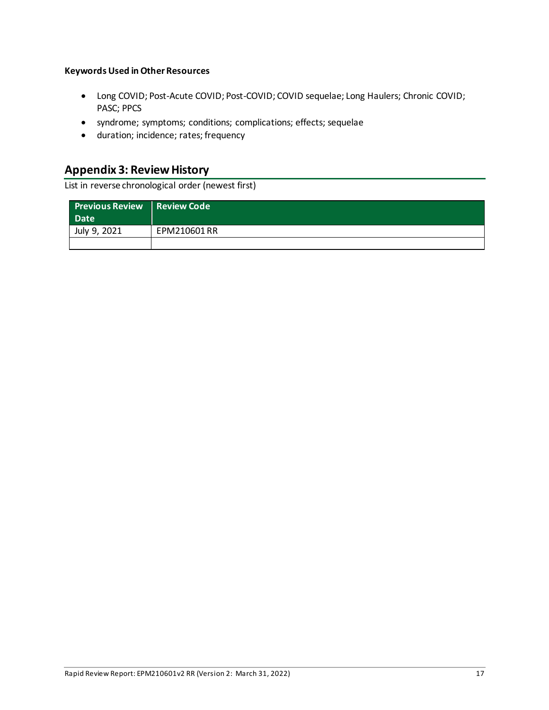#### **Keywords Used in Other Resources**

- Long COVID; Post-Acute COVID; Post-COVID; COVID sequelae; Long Haulers; Chronic COVID; PASC; PPCS
- syndrome; symptoms; conditions; complications; effects; sequelae
- duration; incidence; rates; frequency

# **Appendix 3: Review History**

List in reverse chronological order (newest first)

| Previous Review Review Code<br><b>Date</b> |              |
|--------------------------------------------|--------------|
| July 9, 2021                               | EPM210601 RR |
|                                            |              |